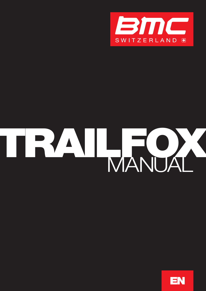

# TRAIL TOA

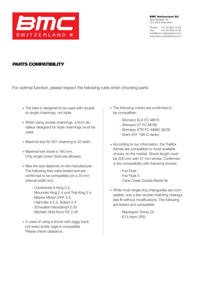

BMC Switzerland AG Sportstrasse 49 CH-2540 Grenchen

Phone +41 32 654 14 54 Fax +41 32 654 14 55 info@bmc-switzerland.com www.bmc-switzerland.com

### Parts compatibility

For optimal function, please respect the following rules when choosing parts:

- The bike is designed to be used with double or single chainrings, not triple.
- When using double chainrings, a front derailleur designed for triple chainrings must be used.
- Maximal size for XX1 chainring is 32 teeth.
- Maximal fork travel is 160 mm. Only single crown forks are allowed.
- Max tire size depends on tire manufacturer. The following tires were tested and are confirmed to be compatible (on a 20 mm internal width rim):
	- Continental X-King 2.4, Mountain King 2.4 und Trail King 2.4
	- Maxxis Minion DHF 2.5, Highroller II 2.3, Ardent 2.4
	- Schwalbe Hansdampf 2.35
	- Michelin Wild Rock'R2 2.35
- In case of using a shock with piggy back not every bottle cage is compatible. Please check clearance.
- The following cranks are confirmed to be compatible:
	- Shimano SLX FC-M675
	- Shimano XT FC-M785
	- Shimano XTR FC-M980 38/26
	- Sram XX1 168 Q-factor
- According to our information, the Trailfox frames are compatible to most available shocks on the market. Shock length must be 200 mm with 57 mm stroke. Confirmed is the compatibility with following shocks:
	- Fox Float
	- Fox Float X
	- Cane Creek Double Barrel Air
- While most single ring chainguides are compatible, only a few double chainring chainguides fit without modifications. The following are tested and compatible:
	- Blackspire Twinty 2X
	- E13 Heim 2RS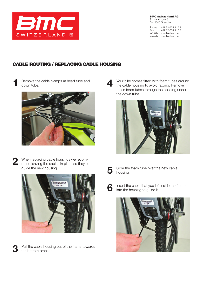

BMC Switzerland AG Sportstrasse 49 CH-2540 Grenchen

Phone +41 32 654 14 54 Fax +41 32 654 14 55 info@bmc-switzerland.com www.bmc-switzerland.com

# Cable Routing / Replacing Cable Housing

Remove the cable clamps at head tube and down tube. 1





3

2 When replacing cable housings we recom-<br>mend leaving the cables in place so they c mend leaving the cables in place so they can guide the new housing.



Pull the cable housing out of the frame towards the bottom bracket.

Your bike comes fitted with foam tubes around the cable housing to avoid rattling. Remove those foam tubes through the opening under the down tube.  $\blacktriangle$ 



5

Slide the foam tube over the new cable housing.



Insert the cable that you left inside the frame into the housing to guide it.